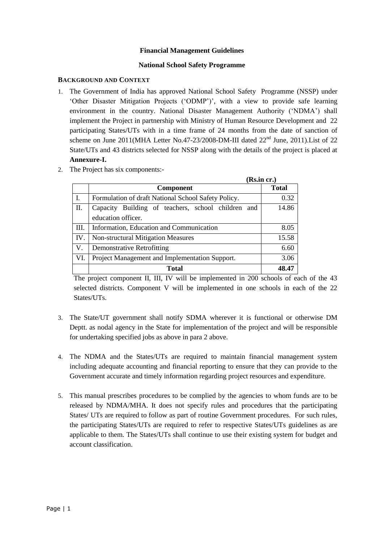### **Financial Management Guidelines**

### **National School Safety Programme**

### **BACKGROUND AND CONTEXT**

- 1. The Government of India has approved National School Safety Programme (NSSP) under ‗Other Disaster Mitigation Projects (‗ODMP')', with a view to provide safe learning environment in the country. National Disaster Management Authority ('NDMA') shall implement the Project in partnership with Ministry of Human Resource Development and 22 participating States/UTs with in a time frame of 24 months from the date of sanction of scheme on June 2011(MHA Letter No.47-23/2008-DM-III dated 22<sup>nd</sup> June, 2011). List of 22 State/UTs and 43 districts selected for NSSP along with the details of the project is placed at **Annexure-I.**
- 2. The Project has six components:-

|      |                                                     | (Rs.in cr.)  |
|------|-----------------------------------------------------|--------------|
|      | <b>Component</b>                                    | <b>Total</b> |
|      | Formulation of draft National School Safety Policy. | 0.32         |
| II.  | Capacity Building of teachers, school children and  | 14.86        |
|      | education officer.                                  |              |
| III. | Information, Education and Communication            | 8.05         |
| IV.  | <b>Non-structural Mitigation Measures</b>           | 15.58        |
| V.   | <b>Demonstrative Retrofitting</b>                   | 6.60         |
| VI.  | Project Management and Implementation Support.      | 3.06         |
|      | <b>Total</b>                                        | 48.47        |

The project component II, III, IV will be implemented in 200 schools of each of the 43 selected districts. Component V will be implemented in one schools in each of the 22 States/UTs.

- 3. The State/UT government shall notify SDMA wherever it is functional or otherwise DM Deptt. as nodal agency in the State for implementation of the project and will be responsible for undertaking specified jobs as above in para 2 above.
- 4. The NDMA and the States/UTs are required to maintain financial management system including adequate accounting and financial reporting to ensure that they can provide to the Government accurate and timely information regarding project resources and expenditure.
- 5. This manual prescribes procedures to be complied by the agencies to whom funds are to be released by NDMA/MHA. It does not specify rules and procedures that the participating States/ UTs are required to follow as part of routine Government procedures. For such rules, the participating States/UTs are required to refer to respective States/UTs guidelines as are applicable to them. The States/UTs shall continue to use their existing system for budget and account classification.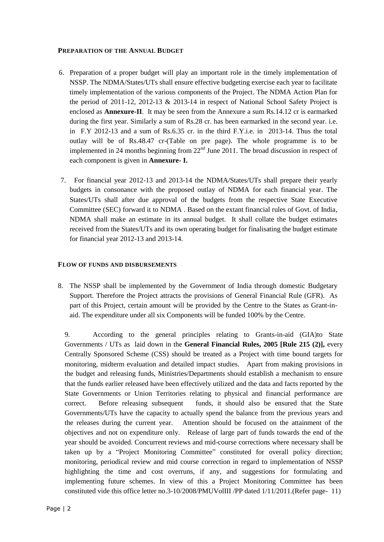### **PREPARATION OF THE ANNUAL BUDGET**

- 6. Preparation of a proper budget will play an important role in the timely implementation of NSSP. The NDMA/States/UTs shall ensure effective budgeting exercise each year to facilitate timely implementation of the various components of the Project. The NDMA Action Plan for the period of 2011-12, 2012-13 & 2013-14 in respect of National School Safety Project is enclosed as **Annexure-II**. It may be seen from the Annexure a sum Rs.14.12 cr is earmarked during the first year. Similarly a sum of Rs.28 cr. has been earmarked in the second year. i.e. in F.Y 2012-13 and a sum of Rs.6.35 cr. in the third F.Y.i.e. in 2013-14. Thus the total outlay will be of Rs.48.47 cr-(Table on pre page). The whole programme is to be implemented in 24 months beginning from  $22<sup>nd</sup>$  June 2011. The broad discussion in respect of each component is given in **Annexure- I.**
- 7. For financial year 2012-13 and 2013-14 the NDMA/States/UTs shall prepare their yearly budgets in consonance with the proposed outlay of NDMA for each financial year. The States/UTs shall after due approval of the budgets from the respective State Executive Committee (SEC) forward it to NDMA . Based on the extant financial rules of Govt. of India, NDMA shall make an estimate in its annual budget. It shall collate the budget estimates received from the States/UTs and its own operating budget for finalisating the budget estimate for financial year 2012-13 and 2013-14.

### **FLOW OF FUNDS AND DISBURSEMENTS**

8. The NSSP shall be implemented by the Government of India through domestic Budgetary Support. Therefore the Project attracts the provisions of General Financial Rule (GFR). As part of this Project, certain amount will be provided by the Centre to the States as Grant-inaid. The expenditure under all six Components will be funded 100% by the Centre.

9. According to the general principles relating to Grants-in-aid (GIA)to State Governments / UTs as laid down in the **General Financial Rules, 2005 [Rule 215 (2)],** every Centrally Sponsored Scheme (CSS) should be treated as a Project with time bound targets for monitoring, midterm evaluation and detailed impact studies. Apart from making provisions in the budget and releasing funds, Ministries/Departments should establish a mechanism to ensure that the funds earlier released have been effectively utilized and the data and facts reported by the State Governments or Union Territories relating to physical and financial performance are correct. Before releasing subsequent funds, it should also be ensured that the State Governments/UTs have the capacity to actually spend the balance from the previous years and the releases during the current year. Attention should be focused on the attainment of the objectives and not on expenditure only. Release of large part of funds towards the end of the year should be avoided. Concurrent reviews and mid-course corrections where necessary shall be taken up by a "Project Monitoring Committee" constituted for overall policy direction; monitoring, periodical review and mid course correction in regard to implementation of NSSP highlighting the time and cost overruns, if any, and suggestions for formulating and implementing future schemes. In view of this a Project Monitoring Committee has been constituted vide this office letter no.3-10/2008/PMUVolIII /PP dated 1/11/2011.(Refer page- 11)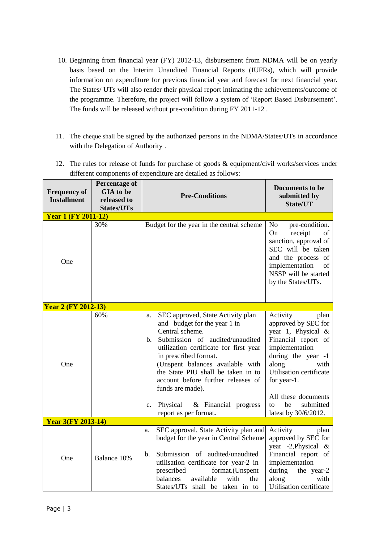- 10. Beginning from financial year (FY) 2012-13, disbursement from NDMA will be on yearly basis based on the Interim Unaudited Financial Reports (IUFRs), which will provide information on expenditure for previous financial year and forecast for next financial year. The States/ UTs will also render their physical report intimating the achievements/outcome of the programme. Therefore, the project will follow a system of 'Report Based Disbursement'. The funds will be released without pre-condition during FY 2011-12 .
- 11. The cheque shall be signed by the authorized persons in the NDMA/States/UTs in accordance with the Delegation of Authority .
- 12. The rules for release of funds for purchase of goods & equipment/civil works/services under different components of expenditure are detailed as follows:

| <b>Frequency of</b><br><b>Installment</b> | <b>Percentage of</b><br><b>GIA</b> to be<br>released to<br><b>States/UTs</b> | <b>Pre-Conditions</b>                                                                                                                                                                                                                                                                                                                                                                                              | Documents to be<br>submitted by<br>State/UT                                                                                                                                                                                                                     |
|-------------------------------------------|------------------------------------------------------------------------------|--------------------------------------------------------------------------------------------------------------------------------------------------------------------------------------------------------------------------------------------------------------------------------------------------------------------------------------------------------------------------------------------------------------------|-----------------------------------------------------------------------------------------------------------------------------------------------------------------------------------------------------------------------------------------------------------------|
| <b>Year 1 (FY 2011-12)</b>                |                                                                              |                                                                                                                                                                                                                                                                                                                                                                                                                    |                                                                                                                                                                                                                                                                 |
| One                                       | 30%                                                                          | Budget for the year in the central scheme                                                                                                                                                                                                                                                                                                                                                                          | pre-condition.<br>No<br>receipt<br>On<br>of<br>sanction, approval of<br>SEC will be taken<br>and the process of<br>implementation<br>of<br>NSSP will be started<br>by the States/UTs.                                                                           |
| <b>Year 2 (FY 2012-13)</b>                |                                                                              |                                                                                                                                                                                                                                                                                                                                                                                                                    |                                                                                                                                                                                                                                                                 |
| One                                       | 60%                                                                          | SEC approved, State Activity plan<br>a.<br>and budget for the year 1 in<br>Central scheme.<br>Submission of audited/unaudited<br>$b_{1}$<br>utilization certificate for first year<br>in prescribed format.<br>(Unspent balances available with<br>the State PIU shall be taken in to<br>account before further releases of<br>funds are made).<br>Physical<br>& Financial progress<br>c.<br>report as per format. | Activity<br>plan<br>approved by SEC for<br>year 1, Physical &<br>Financial report of<br>implementation<br>during the year -1<br>along<br>with<br>Utilisation certificate<br>for year-1.<br>All these documents<br>submitted<br>be<br>to<br>latest by 30/6/2012. |
| <b>Year 3(FY 2013-14)</b>                 |                                                                              |                                                                                                                                                                                                                                                                                                                                                                                                                    |                                                                                                                                                                                                                                                                 |
| One                                       | Balance 10%                                                                  | SEC approval, State Activity plan and<br>a.<br>budget for the year in Central Scheme<br>Submission of audited/unaudited<br>b.<br>utilisation certificate for year-2 in<br>prescribed<br>format.(Unspent<br>available<br>with<br>the<br>balances<br>States/UTs shall be taken in to                                                                                                                                 | Activity<br>plan<br>approved by SEC for<br>year -2, Physical &<br>Financial report of<br>implementation<br>during<br>the year-2<br>along<br>with<br>Utilisation certificate                                                                                     |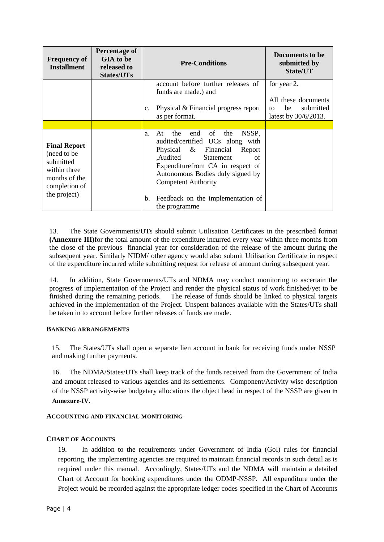| <b>Frequency of</b><br><b>Installment</b>                                                                          | <b>Percentage of</b><br>GIA to be<br>released to<br><b>States/UTs</b> | <b>Pre-Conditions</b>                                                                                                                                                                                                                                                                                               | Documents to be<br>submitted by<br>State/UT                                         |
|--------------------------------------------------------------------------------------------------------------------|-----------------------------------------------------------------------|---------------------------------------------------------------------------------------------------------------------------------------------------------------------------------------------------------------------------------------------------------------------------------------------------------------------|-------------------------------------------------------------------------------------|
|                                                                                                                    |                                                                       | account before further releases of<br>funds are made.) and<br>Physical & Financial progress report<br>$\mathbf{c}$ .<br>as per format.                                                                                                                                                                              | for year 2.<br>All these documents<br>submitted<br>be<br>to<br>latest by 30/6/2013. |
|                                                                                                                    |                                                                       |                                                                                                                                                                                                                                                                                                                     |                                                                                     |
| <b>Final Report</b><br>(need to be)<br>submitted<br>within three<br>months of the<br>completion of<br>the project) |                                                                       | of<br>the<br>end<br>the<br>NSSP,<br>At<br>a.<br>audited/certified UCs along with<br>Physical & Financial<br>Report<br>Audited<br>Statement<br>of<br>Expenditure from CA in respect of<br>Autonomous Bodies duly signed by<br><b>Competent Authority</b><br>Feedback on the implementation of<br>b.<br>the programme |                                                                                     |

13. The State Governments/UTs should submit Utilisation Certificates in the prescribed format **(Annexure III)**for the total amount of the expenditure incurred every year within three months from the close of the previous financial year for consideration of the release of the amount during the subsequent year. Similarly NIDM/ other agency would also submit Utilisation Certificate in respect of the expenditure incurred while submitting request for release of amount during subsequent year.

14. In addition, State Governments/UTs and NDMA may conduct monitoring to ascertain the progress of implementation of the Project and render the physical status of work finished/yet to be finished during the remaining periods. The release of funds should be linked to physical targets achieved in the implementation of the Project. Unspent balances available with the States/UTs shall be taken in to account before further releases of funds are made.

### **BANKING ARRANGEMENTS**

15. The States/UTs shall open a separate lien account in bank for receiving funds under NSSP and making further payments.

16. The NDMA/States/UTs shall keep track of the funds received from the Government of India and amount released to various agencies and its settlements. Component/Activity wise description of the NSSP activity-wise budgetary allocations the object head in respect of the NSSP are given in **Annexure-IV.**

### **ACCOUNTING AND FINANCIAL MONITORING**

### **CHART OF ACCOUNTS**

19. In addition to the requirements under Government of India (GoI) rules for financial reporting, the implementing agencies are required to maintain financial records in such detail as is required under this manual. Accordingly, States/UTs and the NDMA will maintain a detailed Chart of Account for booking expenditures under the ODMP-NSSP. All expenditure under the Project would be recorded against the appropriate ledger codes specified in the Chart of Accounts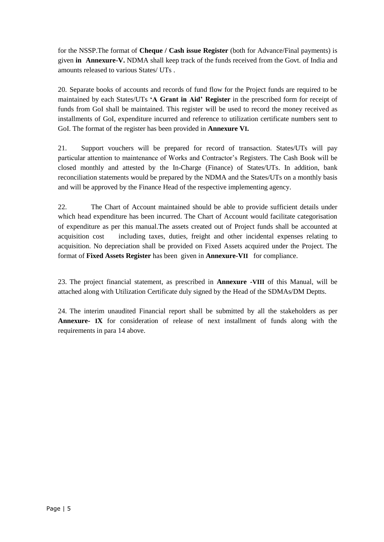for the NSSP.The format of **Cheque / Cash issue Register** (both for Advance/Final payments) is given **in Annexure-V.** NDMA shall keep track of the funds received from the Govt. of India and amounts released to various States/ UTs .

20. Separate books of accounts and records of fund flow for the Project funds are required to be maintained by each States/UTs **'A Grant in Aid' Register** in the prescribed form for receipt of funds from GoI shall be maintained. This register will be used to record the money received as installments of GoI, expenditure incurred and reference to utilization certificate numbers sent to GoI. The format of the register has been provided in **Annexure VI.**

21. Support vouchers will be prepared for record of transaction. States/UTs will pay particular attention to maintenance of Works and Contractor's Registers. The Cash Book will be closed monthly and attested by the In-Charge (Finance) of States/UTs. In addition, bank reconciliation statements would be prepared by the NDMA and the States/UTs on a monthly basis and will be approved by the Finance Head of the respective implementing agency.

22. The Chart of Account maintained should be able to provide sufficient details under which head expenditure has been incurred. The Chart of Account would facilitate categorisation of expenditure as per this manual.The assets created out of Project funds shall be accounted at acquisition cost including taxes, duties, freight and other incidental expenses relating to acquisition. No depreciation shall be provided on Fixed Assets acquired under the Project. The format of **Fixed Assets Register** has been given in **Annexure-VII** for compliance.

23. The project financial statement, as prescribed in **Annexure -VIII** of this Manual, will be attached along with Utilization Certificate duly signed by the Head of the SDMAs/DM Deptts.

24. The interim unaudited Financial report shall be submitted by all the stakeholders as per **Annexure- IX** for consideration of release of next installment of funds along with the requirements in para 14 above.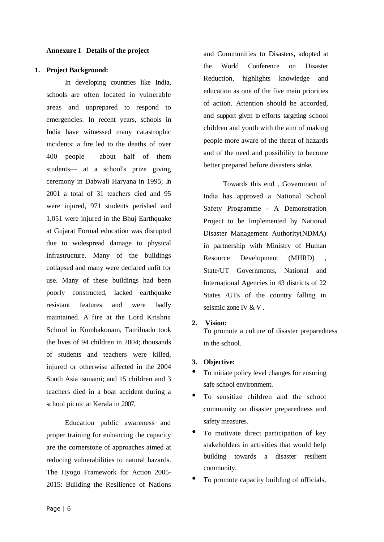#### **Annexure I– Details of the project**

#### **1. Project Background:**

In developing countries like India, schools are often located in vulnerable areas and unprepared to respond to emergencies. In recent years, schools in India have witnessed many catastrophic incidents: a fire led to the deaths of over 400 people —about half of them students— at a school's prize giving ceremony in Dabwali Haryana in 1995; In 2001 a total of 31 teachers died and 95 were injured, 971 students perished and 1,051 were injured in the Bhuj Earthquake at Gujarat Formal education was disrupted due to widespread damage to physical infrastructure. Many of the buildings collapsed and many were declared unfit for use. Many of these buildings had been poorly constructed, lacked earthquake resistant features and were badly maintained. A fire at the Lord Krishna School in Kumbakonam, Tamilnadu took the lives of 94 children in 2004; thousands of students and teachers were killed, injured or otherwise affected in the 2004 South Asia tsunami; and 15 children and 3 teachers died in a boat accident during a school picnic at Kerala in 2007.

Education public awareness and proper training for enhancing the capacity are the cornerstone of approaches aimed at reducing vulnerabilities to natural hazards. The Hyogo Framework for Action 2005- 2015: Building the Resilience of Nations and Communities to Disasters, adopted at the World Conference on Disaster Reduction, highlights knowledge and education as one of the five main priorities of action. Attention should be accorded, and support given to efforts targeting school children and youth with the aim of making people more aware of the threat of hazards and of the need and possibility to become better prepared before disasters strike.

Towards this end , Government of India has approved a National School Safety Programme - A Demonstration Project to be Implemented by National Disaster Management Authority(NDMA) in partnership with Ministry of Human Resource Development (MHRD) State/UT Governments, National and International Agencies in 43 districts of 22 States /UTs of the country falling in seismic zone IV & V .

**2. Vision:**

To promote a culture of disaster preparedness in the school.

### **3. Objective:**

- To initiate policy level changes for ensuring safe school environment.
- To sensitize children and the school community on disaster preparedness and safety measures.
- To motivate direct participation of key stakeholders in activities that would help building towards a disaster resilient community.
- To promote capacity building of officials,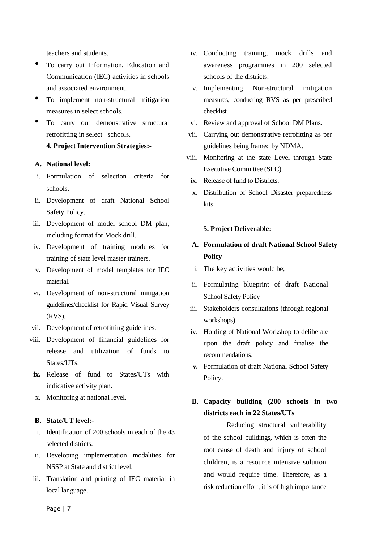teachers and students.

- To carry out Information, Education and Communication (IEC) activities in schools and associated environment.
- To implement non-structural mitigation measures in select schools.
- To carry out demonstrative structural retrofitting in select schools.

## **4. Project Intervention Strategies:-**

### **A. National level:**

- i. Formulation of selection criteria for schools.
- ii. Development of draft National School Safety Policy.
- iii. Development of model school DM plan, including format for Mock drill.
- iv. Development of training modules for training of state level master trainers.
- v. Development of model templates for IEC material.
- vi. Development of non-structural mitigation guidelines/checklist for Rapid Visual Survey (RVS).
- vii. Development of retrofitting guidelines.
- viii. Development of financial guidelines for release and utilization of funds to States/UTs.
- **ix.** Release of fund to States/UTs with indicative activity plan.
- x. Monitoring at national level.

### **B. State/UT level:-**

- i. Identification of 200 schools in each of the 43 selected districts.
- ii. Developing implementation modalities for NSSP at State and district level.
- iii. Translation and printing of IEC material in local language.
- iv. Conducting training, mock drills and awareness programmes in 200 selected schools of the districts.
- v. Implementing Non-structural mitigation measures, conducting RVS as per prescribed checklist.
- vi. Review and approval of School DM Plans.
- vii. Carrying out demonstrative retrofitting as per guidelines being framed by NDMA.
- viii. Monitoring at the state Level through State Executive Committee (SEC).
	- ix. Release of fund to Districts.
	- x. Distribution of School Disaster preparedness kits.

### **5. Project Deliverable:**

# **A. Formulation of draft National School Safety Policy**

- i. The key activities would be;
- ii. Formulating blueprint of draft National School Safety Policy
- iii. Stakeholders consultations (through regional workshops)
- iv. Holding of National Workshop to deliberate upon the draft policy and finalise the recommendations.
- **v.** Formulation of draft National School Safety Policy.

# **B. Capacity building (200 schools in two districts each in 22 States/UTs**

Reducing structural vulnerability of the school buildings, which is often the root cause of death and injury of school children, is a resource intensive solution and would require time. Therefore, as a risk reduction effort, it is of high importance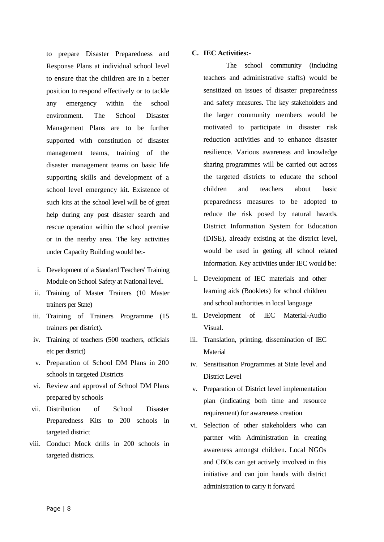to prepare Disaster Preparedness and Response Plans at individual school level to ensure that the children are in a better position to respond effectively or to tackle any emergency within the school environment. The School Disaster Management Plans are to be further supported with constitution of disaster management teams, training of the disaster management teams on basic life supporting skills and development of a school level emergency kit. Existence of such kits at the school level will be of great help during any post disaster search and rescue operation within the school premise or in the nearby area. The key activities under Capacity Building would be:-

- i. Development of a Standard Teachers' Training Module on School Safety at National level.
- ii. Training of Master Trainers (10 Master trainers per State)
- iii. Training of Trainers Programme (15 trainers per district).
- iv. Training of teachers (500 teachers, officials etc per district)
- v. Preparation of School DM Plans in 200 schools in targeted Districts
- vi. Review and approval of School DM Plans prepared by schools
- vii. Distribution of School Disaster Preparedness Kits to 200 schools in targeted district
- viii. Conduct Mock drills in 200 schools in targeted districts.

### **C. IEC Activities:-**

The school community (including teachers and administrative staffs) would be sensitized on issues of disaster preparedness and safety measures. The key stakeholders and the larger community members would be motivated to participate in disaster risk reduction activities and to enhance disaster resilience. Various awareness and knowledge sharing programmes will be carried out across the targeted districts to educate the school children and teachers about basic preparedness measures to be adopted to reduce the risk posed by natural hazards. District Information System for Education (DISE), already existing at the district level, would be used in getting all school related information. Key activities under IEC would be:

- i. Development of IEC materials and other learning aids (Booklets) for school children and school authorities in local language
- ii. Development of IEC Material-Audio Visual.
- iii. Translation, printing, dissemination of IEC Material
- iv. Sensitisation Programmes at State level and District Level
- v. Preparation of District level implementation plan (indicating both time and resource requirement) for awareness creation
- vi. Selection of other stakeholders who can partner with Administration in creating awareness amongst children. Local NGOs and CBOs can get actively involved in this initiative and can join hands with district administration to carry it forward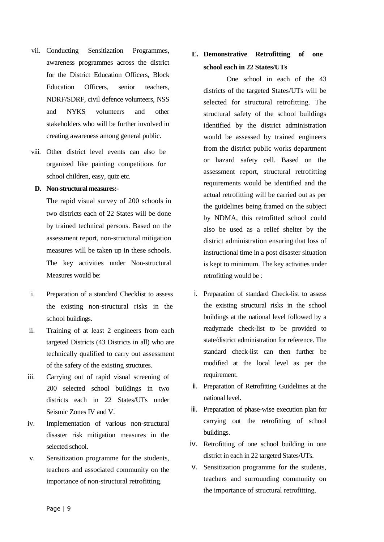- vii. Conducting Sensitization Programmes, awareness programmes across the district for the District Education Officers, Block Education Officers, senior teachers, NDRF/SDRF, civil defence volunteers, NSS and NYKS volunteers and other stakeholders who will be further involved in creating awareness among general public.
- viii. Other district level events can also be organized like painting competitions for school children, easy, quiz etc.

### **D. Non-structural measures:-**

The rapid visual survey of 200 schools in two districts each of 22 States will be done by trained technical persons. Based on the assessment report, non-structural mitigation measures will be taken up in these schools. The key activities under Non-structural Measures would be:

- i. Preparation of a standard Checklist to assess the existing non-structural risks in the school buildings.
- ii. Training of at least 2 engineers from each targeted Districts (43 Districts in all) who are technically qualified to carry out assessment of the safety of the existing structures.
- iii. Carrying out of rapid visual screening of 200 selected school buildings in two districts each in 22 States/UTs under Seismic Zones IV and V.
- iv. Implementation of various non-structural disaster risk mitigation measures in the selected school.
- v. Sensitization programme for the students, teachers and associated community on the importance of non-structural retrofitting.

# **E. Demonstrative Retrofitting of one school each in 22 States/UTs**

One school in each of the 43 districts of the targeted States/UTs will be selected for structural retrofitting. The structural safety of the school buildings identified by the district administration would be assessed by trained engineers from the district public works department or hazard safety cell. Based on the assessment report, structural retrofitting requirements would be identified and the actual retrofitting will be carried out as per the guidelines being framed on the subject by NDMA, this retrofitted school could also be used as a relief shelter by the district administration ensuring that loss of instructional time in a post disaster situation is kept to minimum. The key activities under retrofitting would be :

- i. Preparation of standard Check-list to assess the existing structural risks in the school buildings at the national level followed by a readymade check-list to be provided to state/district administration for reference. The standard check-list can then further be modified at the local level as per the requirement.
- ii. Preparation of Retrofitting Guidelines at the national level.
- iii. Preparation of phase-wise execution plan for carrying out the retrofitting of school buildings.
- iv. Retrofitting of one school building in one district in each in 22 targeted States/UTs.
- v. Sensitization programme for the students, teachers and surrounding community on the importance of structural retrofitting.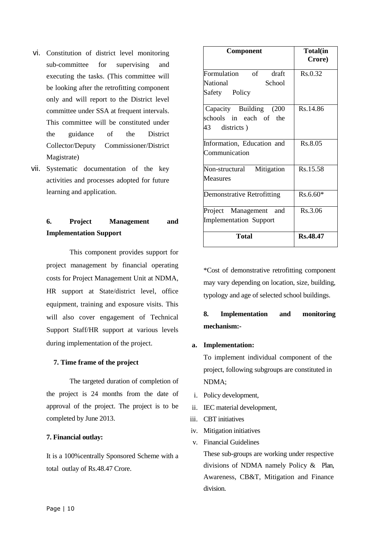- vi. Constitution of district level monitoring sub-committee for supervising and executing the tasks. (This committee will be looking after the retrofitting component only and will report to the District level committee under SSA at frequent intervals. This committee will be constituted under the guidance of the District Collector/Deputy Commissioner/District Magistrate)
- vii. Systematic documentation of the key activities and processes adopted for future learning and application.

# **6. Project Management and Implementation Support**

This component provides support for project management by financial operating costs for Project Management Unit at NDMA, HR support at State/district level, office equipment, training and exposure visits. This will also cover engagement of Technical Support Staff/HR support at various levels during implementation of the project.

### **7. Time frame of the project**

The targeted duration of completion of the project is 24 months from the date of approval of the project. The project is to be completed by June 2013.

#### **7. Financial outlay:**

It is a 100%centrally Sponsored Scheme with a total outlay of Rs.48.47 Crore.

| Component                         | Total(in<br>Crore) |
|-----------------------------------|--------------------|
| Formulation of<br>draft           | Rs.0.32            |
| National<br>School                |                    |
| Safety Policy                     |                    |
| Capacity Building (200            | Rs.14.86           |
| schools in each of the            |                    |
| 43 districts)                     |                    |
| Information, Education and        | Rs.8.05            |
| Communication                     |                    |
| Non-structural Mitigation         | Rs.15.58           |
| <b>Measures</b>                   |                    |
| <b>Demonstrative Retrofitting</b> | Rs.6.60*           |
| Project Management and            | Rs.3.06            |
| <b>Implementation Support</b>     |                    |
| <b>Total</b>                      | Rs.48.47           |

\*Cost of demonstrative retrofitting component may vary depending on location, size, building, typology and age of selected school buildings.

# **8. Implementation and monitoring mechanism:-**

### **a. Implementation:**

To implement individual component of the project, following subgroups are constituted in NDMA;

- i. Policy development,
- ii. IEC material development,
- iii. CBT initiatives
- iv. Mitigation initiatives
- v. Financial Guidelines

These sub-groups are working under respective divisions of NDMA namely Policy  $\&$  Plan, Awareness, CB&T, Mitigation and Finance division.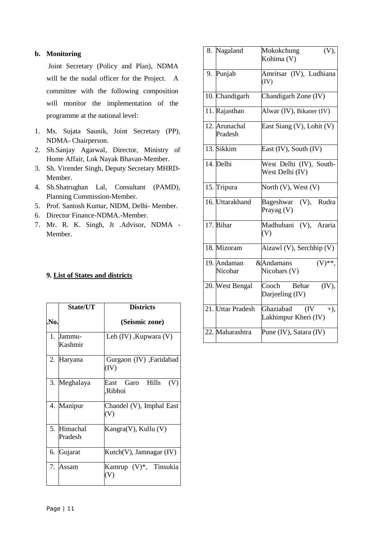### **b. Monitoring**

Joint Secretary (Policy and Plan), NDMA will be the nodal officer for the Project. A committee with the following composition will monitor the implementation of the programme at the national level:

- 1. Ms. Sujata Saunik, Joint Secretary (PP), NDMA- Chairperson.
- 2. Sh.Sanjay Agarwal, Director, Ministry of Home Affair, Lok Nayak Bhavan-Member.
- 3. Sh. Virender Singh, Deputy Secretary MHRD-Member.
- 4. Sh.Shatrughan Lal, Consultant (PAMD), Planning Commission-Member.
- 5. Prof. Santosh Kumar, NIDM, Delhi- Member.
- 6. Director Finance-NDMA.-Member.
- 7. Mr. R. K. Singh, Jt .Advisor, NDMA Member.

### **9. List of States and districts**

|      | State/UT               | <b>Districts</b>                  |
|------|------------------------|-----------------------------------|
| .No. |                        | (Seismic zone)                    |
|      | 1. Jammu-<br>Kashmir   | Leh $(IV)$ , Kupwara $(V)$        |
| 2.   | Haryana                | Gurgaon (IV), Faridabad<br>(IV)   |
| 3.   | Meghalaya              | East Garo Hills<br>(V)<br>Ribhoi, |
|      | 4. Manipur             | Chandel (V), Imphal East<br>(V)   |
|      | 5. Himachal<br>Pradesh | Kangra(V), Kullu (V)              |
| 6.   | Gujarat                | Kutch(V), Jamnagar (IV)           |
| 7.   | <b>Assam</b>           | Kamrup (V)*, Tinsukia<br>(V)      |

| 8. | Nagaland                 | (V),<br>Mokokchung<br>Kohima (V)                    |
|----|--------------------------|-----------------------------------------------------|
| 9. | Punjab                   | Amritsar (IV), Ludhiana<br>(IV)                     |
|    | 10. Chandigarh           | Chandigarh Zone (IV)                                |
|    | 11. Rajasthan            | Alwar (IV), Bikaner (IV)                            |
|    | 12. Arunachal<br>Pradesh | East Siang (V), Lohit (V)                           |
|    | 13. Sikkim               | East (IV), South (IV)                               |
|    | 14. Delhi                | West Delhi (IV), South-<br>West Delhi (IV)          |
|    | 15. Tripura              | North $(V)$ , West $(V)$                            |
|    | 16. Uttarakhand          | Bageshwar (V), Rudra<br>Prayag (V)                  |
|    | 17. Bihar                | Madhubani (V), Araria<br>(V)                        |
|    | 18. Mizoram              | Aizawl (V), Serchhip (V)                            |
|    | 19. Andaman<br>Nicobar   | $(V)$ **,<br>&Andamans<br>Nicobars (V)              |
|    | 20. West Bengal          | Cooch<br>Behar<br>(IV),<br>Darjeeling (IV)          |
|    | 21. Uttar Pradesh        | Ghaziabad<br>(IV)<br>$+)$ ,<br>Lakhimpur Kheri (IV) |
|    | 22. Maharashtra          | Pune (IV), Satara (IV)                              |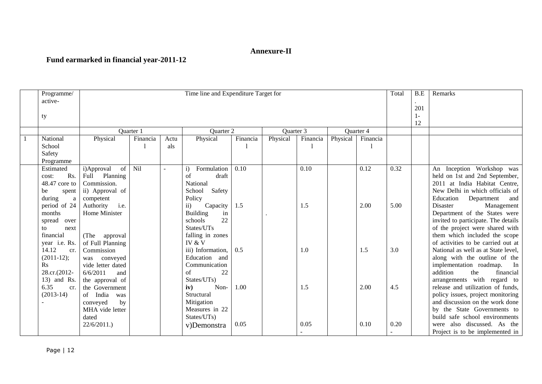## **Annexure-II**

# **Fund earmarked in financial year-2011-12**

| Programme/<br>active- | Time line and Expenditure Target for<br>Total |           |        |                           |          |           |          |                                 |           |      |                                | Remarks                             |
|-----------------------|-----------------------------------------------|-----------|--------|---------------------------|----------|-----------|----------|---------------------------------|-----------|------|--------------------------------|-------------------------------------|
| ty                    |                                               |           |        | 201<br>$1 -$<br>12        |          |           |          |                                 |           |      |                                |                                     |
|                       |                                               | Quarter 1 |        | Quarter 2                 |          | Quarter 3 |          |                                 | Quarter 4 |      |                                |                                     |
| National              | Physical                                      | Financia  | Actu   | Physical                  | Financia | Physical  | Financia | Physical                        | Financia  |      |                                |                                     |
| School                |                                               |           | als    |                           |          |           |          |                                 |           |      |                                |                                     |
| Safety                |                                               |           |        |                           |          |           |          |                                 |           |      |                                |                                     |
| Programme             |                                               |           |        |                           |          |           |          |                                 |           |      |                                |                                     |
| Estimated             | i)Approval<br>of                              | Nil       | $\sim$ | Formulation<br>$\ddot{1}$ | 0.10     |           | 0.10     |                                 | 0.12      | 0.32 |                                | Inception Workshop was<br>An        |
| Rs.<br>cost:          | Planning<br>Full                              |           |        | of<br>draft               |          |           |          |                                 |           |      |                                | held on 1st and 2nd September,      |
| 48.47 core to         | National<br>Commission.                       |           |        |                           |          |           |          | 2011 at India Habitat Centre,   |           |      |                                |                                     |
| be<br>spent           | ii) Approval of<br>Safety<br>School           |           |        |                           |          |           |          | New Delhi in which officials of |           |      |                                |                                     |
| during<br>a           | Policy<br>competent                           |           |        |                           |          |           |          | Education<br>Department<br>and  |           |      |                                |                                     |
| period of 24          | i.e.<br>Authority                             |           |        | Capacity<br>$\mathbf{ii}$ | 1.5      |           | 1.5      |                                 | 2.00      | 5.00 |                                | Management<br>Disaster              |
| months                | Home Minister                                 |           |        | <b>Building</b><br>in     |          |           |          |                                 |           |      |                                | Department of the States were       |
| spread over           |                                               |           |        | 22<br>schools             |          |           |          |                                 |           |      |                                | invited to participate. The details |
| next<br>to            |                                               |           |        | States/UTs                |          |           |          |                                 |           |      |                                | of the project were shared with     |
| financial             | (The<br>approval                              |           |        | falling in zones          |          |           |          |                                 |           |      |                                | them which included the scope       |
| year <i>i.e.</i> Rs.  | of Full Planning                              |           |        | IV & V                    |          |           |          |                                 |           |      |                                | of activities to be carried out at  |
| 14.12<br>cr.          | Commission                                    |           |        | iii) Information,         | 0.5      |           | 1.0      |                                 | 1.5       | 3.0  |                                | National as well as at State level, |
| $(2011-12);$          | was conveyed                                  |           |        | Education and             |          |           |          |                                 |           |      |                                | along with the outline of the       |
| $\rm Rs$              | vide letter dated                             |           |        | Communication             |          |           |          |                                 |           |      |                                | implementation roadmap.<br>$\ln$    |
| 28.cr.(2012-          | 6/6/2011<br>and                               |           |        | 22<br>of                  |          |           |          |                                 |           |      |                                | addition<br>the<br>financial        |
| 13) and Rs.           | the approval of                               |           |        | States/UTs)               |          |           |          |                                 |           |      |                                | arrangements with regard to         |
| 6.35<br>cr.           | the Government                                |           |        | Non-<br>iv)               | 1.00     |           | 1.5      |                                 | 2.00      | 4.5  |                                | release and utilization of funds,   |
| $(2013-14)$           | of India<br>was                               |           |        | Structural                |          |           |          |                                 |           |      |                                | policy issues, project monitoring   |
|                       | conveyed<br>by                                |           |        | Mitigation                |          |           |          |                                 |           |      |                                | and discussion on the work done     |
|                       | Measures in 22<br>MHA vide letter             |           |        |                           |          |           |          |                                 |           |      | by the State Governments to    |                                     |
|                       | States/UTs)<br>dated                          |           |        |                           |          |           |          |                                 |           |      | build safe school environments |                                     |
|                       | 22/6/2011.                                    |           |        | v)Demonstra               | 0.05     |           | 0.05     |                                 | 0.10      | 0.20 |                                | also discussed. As the<br>were      |
|                       |                                               |           |        |                           |          |           |          |                                 |           |      |                                | Project is to be implemented in     |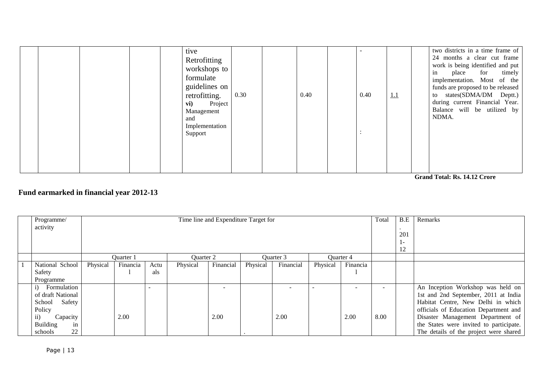|  |  | tive<br>Retrofitting<br>workshops to<br>formulate<br>guidelines on<br>retrofitting.<br>Project<br>vi)<br>Management<br>and<br>Implementation<br>Support | 0.30 | 0.40 | 0.40 | 1.1 | two districts in a time frame of<br>24 months a clear cut frame<br>work is being identified and put<br>in<br>place for<br>timely<br>implementation. Most of the<br>funds are proposed to be released<br>to states(SDMA/DM Deptt.)<br>during current Financial Year.<br>Balance will be utilized by<br>NDMA. |
|--|--|---------------------------------------------------------------------------------------------------------------------------------------------------------|------|------|------|-----|-------------------------------------------------------------------------------------------------------------------------------------------------------------------------------------------------------------------------------------------------------------------------------------------------------------|
|  |  |                                                                                                                                                         |      |      |      |     |                                                                                                                                                                                                                                                                                                             |

 **Grand Total: Rs. 14.12 Crore**

# **Fund earmarked in financial year 2012-13**

| Programme/            |          |           |      |           | Time line and Expenditure Target for |                |           |          |                  | Total | B.E | Remarks                                 |
|-----------------------|----------|-----------|------|-----------|--------------------------------------|----------------|-----------|----------|------------------|-------|-----|-----------------------------------------|
| activity              |          |           |      |           |                                      |                |           |          |                  |       |     |                                         |
|                       |          |           |      |           |                                      |                |           |          |                  |       | 201 |                                         |
|                       |          |           |      |           |                                      | $\mathbf{I}$ – |           |          |                  |       |     |                                         |
|                       |          |           |      |           |                                      |                | 12        |          |                  |       |     |                                         |
|                       |          | Ouarter 1 |      | Ouarter 2 |                                      |                | Ouarter 3 |          | <b>Ouarter 4</b> |       |     |                                         |
| National School       | Physical | Financia  | Actu | Physical  | Financial                            | Physical       | Financial | Physical | Financia         |       |     |                                         |
| Safety                |          |           | als  |           |                                      |                |           |          |                  |       |     |                                         |
| Programme             |          |           |      |           |                                      |                |           |          |                  |       |     |                                         |
| Formulation<br>1)     |          |           |      |           |                                      |                |           |          |                  |       |     | An Inception Workshop was held on       |
| of draft National     |          |           |      |           |                                      |                |           |          |                  |       |     | 1st and 2nd September, 2011 at India    |
| School<br>Safety      |          |           |      |           |                                      |                |           |          |                  |       |     | Habitat Centre, New Delhi in which      |
| Policy                |          |           |      |           |                                      |                |           |          |                  |       |     | officials of Education Department and   |
| ii)<br>Capacity       |          | 2.00      |      |           | 2.00                                 |                | 2.00      |          | 2.00             | 8.00  |     | Disaster Management Department of       |
| <b>Building</b><br>in |          |           |      |           |                                      |                |           |          |                  |       |     | the States were invited to participate. |
| 22<br>schools         |          |           |      |           |                                      |                |           |          |                  |       |     | The details of the project were shared  |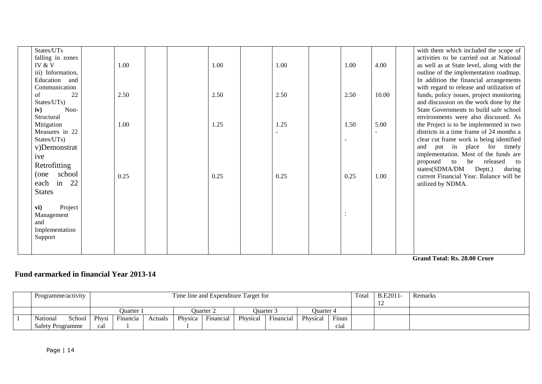| States/UTs<br>falling in zones<br>IV $&$ V<br>iii) Information,<br>Education and   | 1.00 |  | 1.00 | 1.00 | 1.00 | 4.00  | with them which included the scope of<br>activities to be carried out at National<br>as well as at State level, along with the<br>outline of the implementation roadmap.<br>In addition the financial arrangements                                                              |
|------------------------------------------------------------------------------------|------|--|------|------|------|-------|---------------------------------------------------------------------------------------------------------------------------------------------------------------------------------------------------------------------------------------------------------------------------------|
| Communication<br>22<br>of<br>States/UTs)<br>iv)<br>Non-<br>Structural              | 2.50 |  | 2.50 | 2.50 | 2.50 | 10.00 | with regard to release and utilization of<br>funds, policy issues, project monitoring<br>and discussion on the work done by the<br>State Governments to build safe school<br>environments were also discussed. As                                                               |
| Mitigation<br>Measures in 22<br>States/UTs)<br>v)Demonstrat<br>ive<br>Retrofitting | 1.00 |  | 1.25 | 1.25 | 1.50 | 5.00  | the Project is to be implemented in two<br>districts in a time frame of 24 months a<br>clear cut frame work is being identified<br>and put in place for timely<br>implementation. Most of the funds are<br>proposed to be released<br>to<br>states(SDMA/DM<br>Deptt.)<br>during |
| (one school<br>each in 22<br><b>States</b>                                         | 0.25 |  | 0.25 | 0.25 | 0.25 | 1.00  | current Financial Year. Balance will be<br>utilized by NDMA.                                                                                                                                                                                                                    |
| Project<br>vi)<br>Management<br>and<br>Implementation<br>Support                   |      |  |      |      |      |       |                                                                                                                                                                                                                                                                                 |

**Grand Total: Rs. 28.00 Crore** 

# **Fund earmarked in financial Year 2013-14**

| Programme/activity |        |              | Time line and Expenditure Target for |         |         |                  |          |           |           |                  | Total | <b>B.E2011-</b> | Remarks |
|--------------------|--------|--------------|--------------------------------------|---------|---------|------------------|----------|-----------|-----------|------------------|-------|-----------------|---------|
|                    |        |              | )uarter 1                            |         |         | <b>Duarter</b> 2 |          | Ouarter 3 | Ouarter 4 |                  |       |                 |         |
| <b>National</b>    | School | <b>Physi</b> | Financia                             | Actuals | Physica | Financial        | Physical | Financial | Physical  | Finan            |       |                 |         |
| Safety Programme   |        | cal          |                                      |         |         |                  |          |           |           | c <sub>1</sub> a |       |                 |         |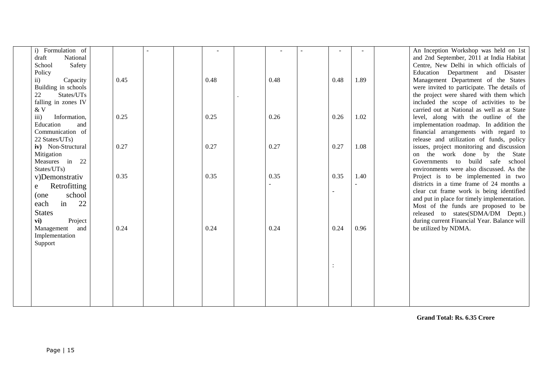| Formulation of<br>$\mathbf{i}$   |      |  |      |      |      |      | An Inception Workshop was held on 1st       |
|----------------------------------|------|--|------|------|------|------|---------------------------------------------|
| National<br>draft                |      |  |      |      |      |      | and 2nd September, 2011 at India Habitat    |
| School<br>Safety                 |      |  |      |      |      |      | Centre, New Delhi in which officials of     |
| Policy                           |      |  |      |      |      |      | Education Department and Disaster           |
| Capacity<br>$\rm ii)$            | 0.45 |  | 0.48 | 0.48 | 0.48 | 1.89 | Management Department of the States         |
| Building in schools              |      |  |      |      |      |      | were invited to participate. The details of |
| States/UTs<br>22                 |      |  |      |      |      |      | the project were shared with them which     |
| falling in zones IV              |      |  |      |      |      |      | included the scope of activities to be      |
| & V                              |      |  |      |      |      |      | carried out at National as well as at State |
| Information,<br>$\overline{iii}$ | 0.25 |  | 0.25 | 0.26 | 0.26 | 1.02 | level, along with the outline of the        |
| Education<br>and                 |      |  |      |      |      |      | implementation roadmap. In addition the     |
| Communication of                 |      |  |      |      |      |      | financial arrangements with regard to       |
| 22 States/UTs)                   |      |  |      |      |      |      | release and utilization of funds, policy    |
| iv) Non-Structural               | 0.27 |  | 0.27 | 0.27 | 0.27 | 1.08 | issues, project monitoring and discussion   |
| Mitigation                       |      |  |      |      |      |      | on the work done by the State               |
| Measures in 22                   |      |  |      |      |      |      | Governments to build safe<br>school         |
| States/UTs)                      |      |  |      |      |      |      | environments were also discussed. As the    |
| v)Demonstrativ                   | 0.35 |  | 0.35 | 0.35 | 0.35 | 1.40 | Project is to be implemented in two         |
| Retrofitting<br>e                |      |  |      |      |      |      | districts in a time frame of 24 months a    |
| school<br>(one                   |      |  |      |      |      |      | clear cut frame work is being identified    |
| 22<br>in<br>each                 |      |  |      |      |      |      | and put in place for timely implementation. |
|                                  |      |  |      |      |      |      | Most of the funds are proposed to be        |
| <b>States</b>                    |      |  |      |      |      |      | released to states(SDMA/DM Deptt.)          |
| vi)<br>Project                   |      |  |      |      |      |      | during current Financial Year. Balance will |
| and<br>Management                | 0.24 |  | 0.24 | 0.24 | 0.24 | 0.96 | be utilized by NDMA.                        |
| Implementation                   |      |  |      |      |      |      |                                             |
| Support                          |      |  |      |      |      |      |                                             |
|                                  |      |  |      |      |      |      |                                             |
|                                  |      |  |      |      |      |      |                                             |
|                                  |      |  |      |      |      |      |                                             |
|                                  |      |  |      |      |      |      |                                             |
|                                  |      |  |      |      |      |      |                                             |
|                                  |      |  |      |      |      |      |                                             |
|                                  |      |  |      |      |      |      |                                             |
|                                  |      |  |      |      |      |      |                                             |

**Grand Total: Rs. 6.35 Crore**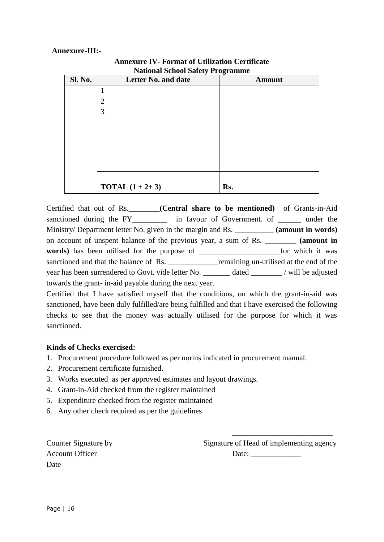### **Annexure-III:-**

| <b>National School Safety Programme</b> |                            |               |  |  |  |  |  |  |
|-----------------------------------------|----------------------------|---------------|--|--|--|--|--|--|
| Sl. No.                                 | Letter No. and date        | <b>Amount</b> |  |  |  |  |  |  |
|                                         | 1                          |               |  |  |  |  |  |  |
|                                         | $\overline{2}$             |               |  |  |  |  |  |  |
|                                         | 3                          |               |  |  |  |  |  |  |
|                                         |                            |               |  |  |  |  |  |  |
|                                         |                            |               |  |  |  |  |  |  |
|                                         |                            |               |  |  |  |  |  |  |
|                                         |                            |               |  |  |  |  |  |  |
|                                         |                            |               |  |  |  |  |  |  |
|                                         |                            |               |  |  |  |  |  |  |
|                                         | <b>TOTAL</b> $(1 + 2 + 3)$ | Rs.           |  |  |  |  |  |  |

### **Annexure IV- Format of Utilization Certificate National School Safety Programme**

Certified that out of Rs.\_\_\_\_\_\_\_\_**(Central share to be mentioned)** of Grants-in-Aid sanctioned during the FY\_\_\_\_\_\_\_\_\_\_ in favour of Government. of \_\_\_\_\_\_\_ under the Ministry/ Department letter No. given in the margin and Rs. \_\_\_\_\_\_\_\_\_\_ **(amount in words)** on account of unspent balance of the previous year, a sum of Rs. \_\_\_\_\_\_\_\_ **(amount in words)** has been utilised for the purpose of \_\_\_\_\_\_\_\_\_\_\_\_\_\_\_\_\_\_\_\_\_for which it was sanctioned and that the balance of Rs. \_\_\_\_\_\_\_\_\_\_\_\_\_\_\_remaining un-utilised at the end of the year has been surrendered to Govt. vide letter No. dated / will be adjusted towards the grant- in-aid payable during the next year.

Certified that I have satisfied myself that the conditions, on which the grant-in-aid was sanctioned, have been duly fulfilled/are being fulfilled and that I have exercised the following checks to see that the money was actually utilised for the purpose for which it was sanctioned.

### **Kinds of Checks exercised:**

- 1. Procurement procedure followed as per norms indicated in procurement manual.
- 2. Procurement certificate furnished.
- 3. Works executed as per approved estimates and layout drawings.
- 4. Grant-in-Aid checked from the register maintained
- 5. Expenditure checked from the register maintained
- 6. Any other check required as per the guidelines

Account Officer Date: \_\_\_\_\_\_\_\_\_\_\_\_\_ Date

Counter Signature by Signature of Head of implementing agency

\_\_\_\_\_\_\_\_\_\_\_\_\_\_\_\_\_\_\_\_\_\_\_\_\_\_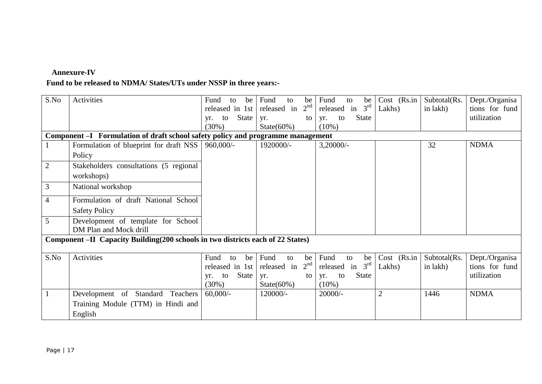## **Annexure-IV**

## **Fund to be released to NDMA/ States/UTs under NSSP in three years:-**

| S.No           | Activities                                                                      | Fund<br>be<br>to<br>released in 1st<br>State<br>to<br>yr.<br>(30%) | Fund<br>to<br>be<br>2 <sup>nd</sup><br>released in<br>yr.<br>to<br>State $(60\%)$ | Fund<br>to<br>be<br>released in $3rd$<br><b>State</b><br>to<br>yr.<br>$(10\%)$ | $Cost$ (Rs.in<br>Lakhs) | Subtotal(Rs.<br>in lakh) | Dept./Organisa<br>tions for fund<br>utilization |
|----------------|---------------------------------------------------------------------------------|--------------------------------------------------------------------|-----------------------------------------------------------------------------------|--------------------------------------------------------------------------------|-------------------------|--------------------------|-------------------------------------------------|
|                | Component -I Formulation of draft school safety policy and programme management |                                                                    |                                                                                   |                                                                                |                         |                          |                                                 |
|                | Formulation of blueprint for draft NSS                                          | 960,000/-                                                          | 1920000/-                                                                         | $3,20000/-$                                                                    |                         | 32                       | <b>NDMA</b>                                     |
|                | Policy                                                                          |                                                                    |                                                                                   |                                                                                |                         |                          |                                                 |
| $\overline{2}$ | Stakeholders consultations (5 regional                                          |                                                                    |                                                                                   |                                                                                |                         |                          |                                                 |
|                | workshops)                                                                      |                                                                    |                                                                                   |                                                                                |                         |                          |                                                 |
| 3              | National workshop                                                               |                                                                    |                                                                                   |                                                                                |                         |                          |                                                 |
| $\overline{4}$ | Formulation of draft National School                                            |                                                                    |                                                                                   |                                                                                |                         |                          |                                                 |
|                | <b>Safety Policy</b>                                                            |                                                                    |                                                                                   |                                                                                |                         |                          |                                                 |
| 5              | Development of template for School<br>DM Plan and Mock drill                    |                                                                    |                                                                                   |                                                                                |                         |                          |                                                 |
|                | Component -II Capacity Building(200 schools in two districts each of 22 States) |                                                                    |                                                                                   |                                                                                |                         |                          |                                                 |
| S.No           | <b>Activities</b>                                                               | Fund<br>be<br>to                                                   | Fund<br>to<br>be                                                                  | Fund<br>to<br>be                                                               | $Cost$ (Rs.in           | Subtotal(Rs.             | Dept./Organisa                                  |
|                |                                                                                 | released in 1st                                                    | 2 <sup>nd</sup><br>released in                                                    | released in $3rd$                                                              | Lakhs)                  | in lakh)                 | tions for fund                                  |
|                |                                                                                 | State<br>to<br>yr.                                                 | yr.<br>to                                                                         | <b>State</b><br>yr.<br>to                                                      |                         |                          | utilization                                     |
|                | Development of Standard Teachers                                                | $(30\%)$<br>$60,000/$ -                                            | State $(60\%)$<br>120000/-                                                        | $(10\%)$<br>$20000/-$                                                          | $\overline{2}$          | 1446                     | <b>NDMA</b>                                     |
|                |                                                                                 |                                                                    |                                                                                   |                                                                                |                         |                          |                                                 |
|                | Training Module (TTM) in Hindi and                                              |                                                                    |                                                                                   |                                                                                |                         |                          |                                                 |
|                | English                                                                         |                                                                    |                                                                                   |                                                                                |                         |                          |                                                 |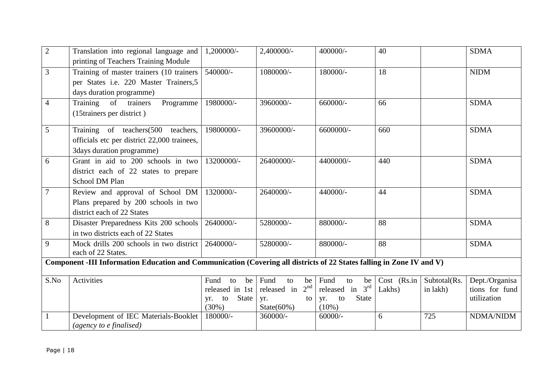| $\overline{2}$ | Translation into regional language and<br>printing of Teachers Training Module                                        | 1,200000/-                                                                        | 2,400000/-                                                                                    | 400000/-                                                                                      | 40                          |                                 | <b>SDMA</b>                                                  |
|----------------|-----------------------------------------------------------------------------------------------------------------------|-----------------------------------------------------------------------------------|-----------------------------------------------------------------------------------------------|-----------------------------------------------------------------------------------------------|-----------------------------|---------------------------------|--------------------------------------------------------------|
| 3              | Training of master trainers (10 trainers<br>per States i.e. 220 Master Trainers, 5<br>days duration programme)        | 540000/-                                                                          | 1080000/-                                                                                     | 180000/-                                                                                      | 18                          |                                 | <b>NIDM</b>                                                  |
| $\overline{4}$ | of trainers<br>Training<br>Programme<br>(15trainers per district)                                                     | 1980000/-                                                                         | 3960000/-                                                                                     | 660000/-                                                                                      | 66                          |                                 | <b>SDMA</b>                                                  |
| 5              | Training of teachers(500 teachers,<br>officials etc per district 22,000 trainees,<br>3days duration programme)        | 19800000/-                                                                        | 39600000/-                                                                                    | 6600000/-                                                                                     | 660                         |                                 | <b>SDMA</b>                                                  |
| 6              | Grant in aid to 200 schools in two<br>district each of 22 states to prepare<br>School DM Plan                         | 13200000/-                                                                        | 26400000/-                                                                                    | 4400000/-                                                                                     | 440                         |                                 | <b>SDMA</b>                                                  |
| $\overline{7}$ | Review and approval of School DM<br>Plans prepared by 200 schools in two<br>district each of 22 States                | 1320000/-                                                                         | 2640000/-                                                                                     | 440000/-                                                                                      | 44                          |                                 | <b>SDMA</b>                                                  |
| 8              | Disaster Preparedness Kits 200 schools   2640000/-<br>in two districts each of 22 States                              |                                                                                   | 5280000/-                                                                                     | 880000/-                                                                                      | 88                          |                                 | <b>SDMA</b>                                                  |
| 9              | Mock drills 200 schools in two district<br>each of 22 States.                                                         | 2640000/-                                                                         | 5280000/-                                                                                     | 880000/-                                                                                      | 88                          |                                 | <b>SDMA</b>                                                  |
|                | Component -III Information Education and Communication (Covering all districts of 22 States falling in Zone IV and V) |                                                                                   |                                                                                               |                                                                                               |                             |                                 |                                                              |
| S.No           | Activities<br>Development of IEC Materials-Booklet                                                                    | be<br>Fund<br>to<br>released in 1st<br>State<br>to<br>yr.<br>$(30\%)$<br>180000/- | Fund<br>to<br>be<br>2 <sup>nd</sup><br>released in<br>yr.<br>to<br>State $(60\%)$<br>360000/- | Fund<br>to<br>be  <br>released in $3rd$<br><b>State</b><br>to<br>yr.<br>$(10\%)$<br>$60000/-$ | Cost (Rs.in)<br>Lakhs)<br>6 | Subtotal(Rs.<br>in lakh)<br>725 | Dept./Organisa<br>tions for fund<br>utilization<br>NDMA/NIDM |
|                | (agency to e finalised)                                                                                               |                                                                                   |                                                                                               |                                                                                               |                             |                                 |                                                              |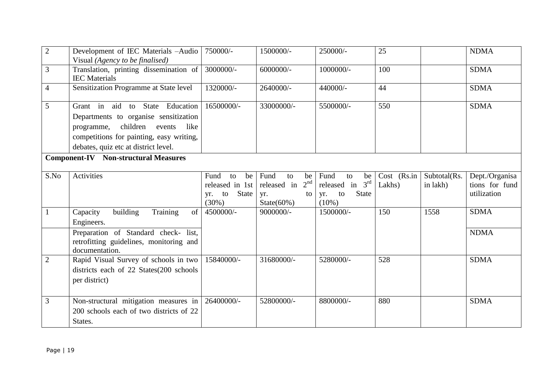| $\overline{2}$ | Development of IEC Materials -Audio              | 750000/-         | 1500000/-                      | 250000/-                  | 25          |              | <b>NDMA</b>    |
|----------------|--------------------------------------------------|------------------|--------------------------------|---------------------------|-------------|--------------|----------------|
|                | Visual (Agency to be finalised)                  |                  |                                |                           |             |              |                |
| $\overline{3}$ | Translation, printing dissemination of           | 3000000/-        | 6000000/-                      | 1000000/-                 | 100         |              | <b>SDMA</b>    |
|                | <b>IEC</b> Materials                             |                  |                                |                           |             |              |                |
| $\overline{4}$ | Sensitization Programme at State level           | 1320000/-        | 2640000/-                      | 440000/-                  | 44          |              | <b>SDMA</b>    |
|                |                                                  |                  |                                |                           |             |              |                |
| 5              | Grant in aid to State Education                  | 16500000/-       | 33000000/-                     | 5500000/-                 | 550         |              | <b>SDMA</b>    |
|                | Departments to organise sensitization            |                  |                                |                           |             |              |                |
|                | children<br>programme,<br>events<br>like         |                  |                                |                           |             |              |                |
|                | competitions for painting, easy writing,         |                  |                                |                           |             |              |                |
|                | debates, quiz etc at district level.             |                  |                                |                           |             |              |                |
|                | <b>Component-IV</b> Non-structural Measures      |                  |                                |                           |             |              |                |
|                |                                                  |                  |                                |                           |             |              |                |
| S.No           | Activities                                       | Fund<br>to<br>be | Fund<br>to<br>be               | Fund<br>to<br>be          | Cost (Rs.in | Subtotal(Rs. | Dept./Organisa |
|                |                                                  | released in 1st  | 2 <sup>nd</sup><br>released in | released in $3rd$         | Lakhs)      | in lakh)     | tions for fund |
|                |                                                  | State<br>yr. to  | yr.<br>to                      | <b>State</b><br>to<br>yr. |             |              | utilization    |
|                |                                                  | $(30\%)$         | State $(60\%)$                 | $(10\%)$                  |             |              |                |
| $\mathbf{1}$   | Training<br>building<br>Capacity<br>of           | 4500000/-        | 9000000/-                      | 1500000/-                 | 150         | 1558         | <b>SDMA</b>    |
|                | Engineers.                                       |                  |                                |                           |             |              |                |
|                | Preparation of Standard check- list,             |                  |                                |                           |             |              | <b>NDMA</b>    |
|                | retrofitting guidelines, monitoring and          |                  |                                |                           |             |              |                |
|                | documentation.                                   |                  |                                |                           |             |              |                |
| $\overline{2}$ | Rapid Visual Survey of schools in two            | 15840000/-       | 31680000/-                     | 5280000/-                 | 528         |              | <b>SDMA</b>    |
|                | districts each of 22 States (200 schools)        |                  |                                |                           |             |              |                |
|                | per district)                                    |                  |                                |                           |             |              |                |
|                |                                                  |                  |                                |                           |             |              |                |
| 3              | Non-structural mitigation measures in 26400000/- |                  | 52800000/-                     | 8800000/-                 | 880         |              | <b>SDMA</b>    |
|                | 200 schools each of two districts of 22          |                  |                                |                           |             |              |                |
|                | States.                                          |                  |                                |                           |             |              |                |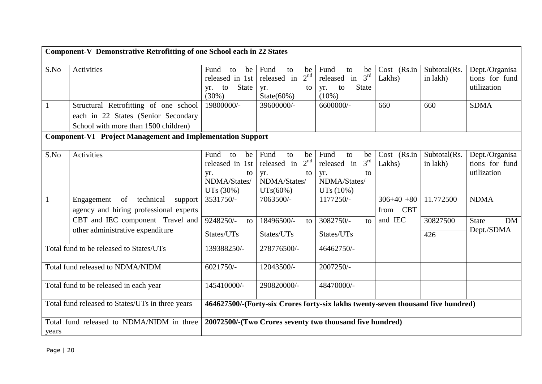|                                                  | Component-V Demonstrative Retrofitting of one School each in 22 States |                                                                                  |                                                    |                                                    |                         |                          |                                  |
|--------------------------------------------------|------------------------------------------------------------------------|----------------------------------------------------------------------------------|----------------------------------------------------|----------------------------------------------------|-------------------------|--------------------------|----------------------------------|
| S.No                                             | Activities                                                             | Fund<br>be<br>to<br>released in 1st                                              | Fund<br>to<br>be<br>2 <sup>nd</sup><br>released in | Fund<br>to<br>be<br>released in 3rd                | $Cost$ (Rs.in<br>Lakhs) | Subtotal(Rs.<br>in lakh) | Dept./Organisa<br>tions for fund |
|                                                  |                                                                        | <b>State</b><br>to<br>vr.<br>(30%)                                               | yr.<br>to<br>State $(60\%)$                        | <b>State</b><br>to<br>yr.<br>$(10\%)$              |                         |                          | utilization                      |
| $\mathbf{1}$                                     | Structural Retrofitting of one school                                  | 19800000/-                                                                       | 39600000/-                                         | 6600000/-                                          | 660                     | 660                      | <b>SDMA</b>                      |
|                                                  | each in 22 States (Senior Secondary                                    |                                                                                  |                                                    |                                                    |                         |                          |                                  |
|                                                  | School with more than 1500 children)                                   |                                                                                  |                                                    |                                                    |                         |                          |                                  |
|                                                  | <b>Component-VI Project Management and Implementation Support</b>      |                                                                                  |                                                    |                                                    |                         |                          |                                  |
| S.No                                             | Activities                                                             | Fund<br>be<br>to<br>released in 1st                                              | Fund<br>be<br>to<br>2 <sup>nd</sup><br>released in | Fund<br>to<br>be<br>3 <sup>rd</sup><br>released in | Cost (Rs.in<br>Lakhs)   | Subtotal(Rs.             | Dept./Organisa<br>tions for fund |
|                                                  |                                                                        | yr.<br>to                                                                        | yr.<br>to                                          | yr.<br>to                                          |                         | in lakh)                 | utilization                      |
|                                                  |                                                                        | NDMA/States/                                                                     | NDMA/States/                                       | NDMA/States/                                       |                         |                          |                                  |
|                                                  |                                                                        | UTs (30%)                                                                        | UTs(60%)                                           | UTs(10%)                                           |                         |                          |                                  |
|                                                  | technical<br>of<br>Engagement<br>support                               | 3531750/-                                                                        | 7063500/-                                          | 1177250/-                                          | $306+40+80$             | 11.772500                | <b>NDMA</b>                      |
|                                                  | agency and hiring professional experts                                 |                                                                                  |                                                    |                                                    | from CBT                |                          |                                  |
|                                                  | CBT and IEC component Travel and                                       | 9248250/-<br>to                                                                  | 18496500/-<br>to                                   | 3082750/-<br>$\mathsf{to}$                         | and IEC                 | 30827500                 | <b>State</b><br><b>DM</b>        |
|                                                  | other administrative expenditure                                       | States/UTs                                                                       | States/UTs                                         | States/UTs                                         |                         | 426                      | Dept./SDMA                       |
|                                                  | Total fund to be released to States/UTs                                | 139388250/-                                                                      | 278776500/-                                        | 46462750/-                                         |                         |                          |                                  |
|                                                  | Total fund released to NDMA/NIDM                                       | 6021750/-                                                                        | 12043500/-                                         | 2007250/-                                          |                         |                          |                                  |
| Total fund to be released in each year           |                                                                        | 145410000/-                                                                      | 290820000/-                                        | 48470000/-                                         |                         |                          |                                  |
| Total fund released to States/UTs in three years |                                                                        | 464627500/-(Forty-six Crores forty-six lakhs twenty-seven thousand five hundred) |                                                    |                                                    |                         |                          |                                  |
| years                                            | Total fund released to NDMA/NIDM in three                              | 20072500/-(Two Crores seventy two thousand five hundred)                         |                                                    |                                                    |                         |                          |                                  |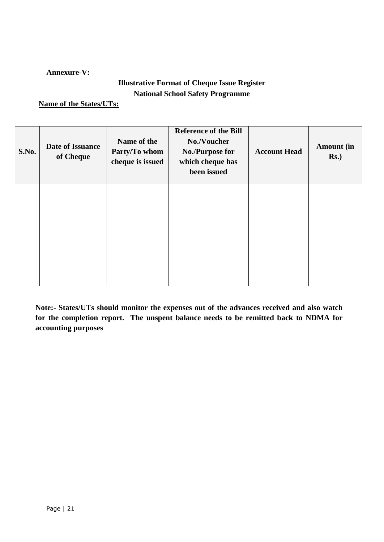### **Annexure-V:**

## **Illustrative Format of Cheque Issue Register National School Safety Programme**

### **Name of the States/UTs:**

| S.No. | <b>Date of Issuance</b><br>of Cheque | Name of the<br>Party/To whom<br>cheque is issued | <b>Reference of the Bill</b><br>No./Voucher<br><b>No./Purpose for</b><br>which cheque has<br>been issued | <b>Account Head</b> | <b>Amount</b> (in<br>$Rs.$ ) |
|-------|--------------------------------------|--------------------------------------------------|----------------------------------------------------------------------------------------------------------|---------------------|------------------------------|
|       |                                      |                                                  |                                                                                                          |                     |                              |
|       |                                      |                                                  |                                                                                                          |                     |                              |
|       |                                      |                                                  |                                                                                                          |                     |                              |
|       |                                      |                                                  |                                                                                                          |                     |                              |
|       |                                      |                                                  |                                                                                                          |                     |                              |
|       |                                      |                                                  |                                                                                                          |                     |                              |

**Note:- States/UTs should monitor the expenses out of the advances received and also watch for the completion report. The unspent balance needs to be remitted back to NDMA for accounting purposes**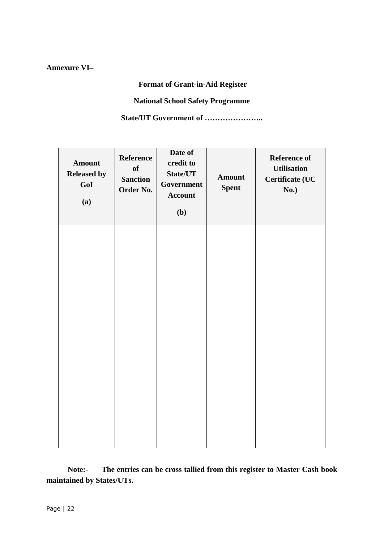## **Annexure VI–**

## **Format of Grant-in-Aid Register**

### **National School Safety Programme**

**State/UT Government of …………………..**

| Amount<br><b>Released by</b><br>GoI<br>(a) | Reference<br>of<br><b>Sanction</b><br>Order No. | Date of<br>credit to<br>State/UT<br>Government<br>Account<br>(b) | <b>Amount</b><br><b>Spent</b> | Reference of<br><b>Utilisation</b><br><b>Certificate (UC</b><br>No.) |
|--------------------------------------------|-------------------------------------------------|------------------------------------------------------------------|-------------------------------|----------------------------------------------------------------------|
|                                            |                                                 |                                                                  |                               |                                                                      |
|                                            |                                                 |                                                                  |                               |                                                                      |
|                                            |                                                 |                                                                  |                               |                                                                      |

 **Note:- The entries can be cross tallied from this register to Master Cash book maintained by States/UTs.**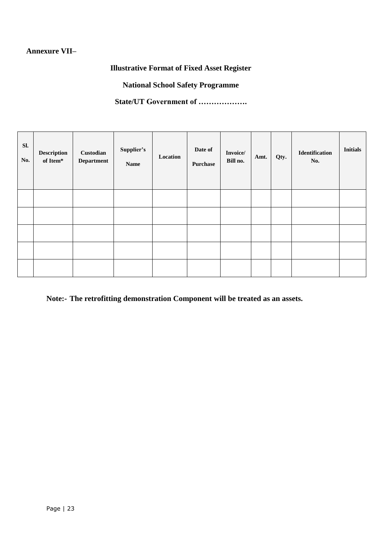## **Annexure VII–**

**Illustrative Format of Fixed Asset Register**

**National School Safety Programme**

**State/UT Government of ……………….**

| Sl.<br>No. | Description<br>of Item* | Custodian<br><b>Department</b> | Supplier's<br><b>Name</b> | Location | Date of<br><b>Purchase</b> | Invoice/<br>Bill no. | Amt. | Qty. | Identification<br>No. | <b>Initials</b> |
|------------|-------------------------|--------------------------------|---------------------------|----------|----------------------------|----------------------|------|------|-----------------------|-----------------|
|            |                         |                                |                           |          |                            |                      |      |      |                       |                 |
|            |                         |                                |                           |          |                            |                      |      |      |                       |                 |
|            |                         |                                |                           |          |                            |                      |      |      |                       |                 |
|            |                         |                                |                           |          |                            |                      |      |      |                       |                 |
|            |                         |                                |                           |          |                            |                      |      |      |                       |                 |

**Note:- The retrofitting demonstration Component will be treated as an assets.**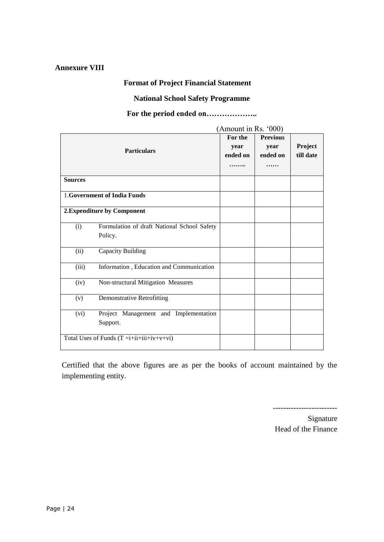### **Annexure VIII**

## **Format of Project Financial Statement**

## **National School Safety Programme**

## **For the period ended on………………..**

|                |                                                        | (Amount in Rs. '000)        |                                     |                      |
|----------------|--------------------------------------------------------|-----------------------------|-------------------------------------|----------------------|
|                | <b>Particulars</b>                                     | For the<br>year<br>ended on | <b>Previous</b><br>year<br>ended on | Project<br>till date |
| <b>Sources</b> |                                                        |                             |                                     |                      |
|                | 1. Government of India Funds                           |                             |                                     |                      |
|                | 2. Expenditure by Component                            |                             |                                     |                      |
| (i)            | Formulation of draft National School Safety<br>Policy. |                             |                                     |                      |
| (ii)           | Capacity Building                                      |                             |                                     |                      |
| (iii)          | Information, Education and Communication               |                             |                                     |                      |
| (iv)           | Non-structural Mitigation Measures                     |                             |                                     |                      |
| (v)            | <b>Demonstrative Retrofitting</b>                      |                             |                                     |                      |
| (vi)           | Project Management and Implementation<br>Support.      |                             |                                     |                      |
|                | Total Uses of Funds $(T = i + ii + iii + iv + v + vi)$ |                             |                                     |                      |

Certified that the above figures are as per the books of account maintained by the implementing entity.

-------------------------

Signature Head of the Finance